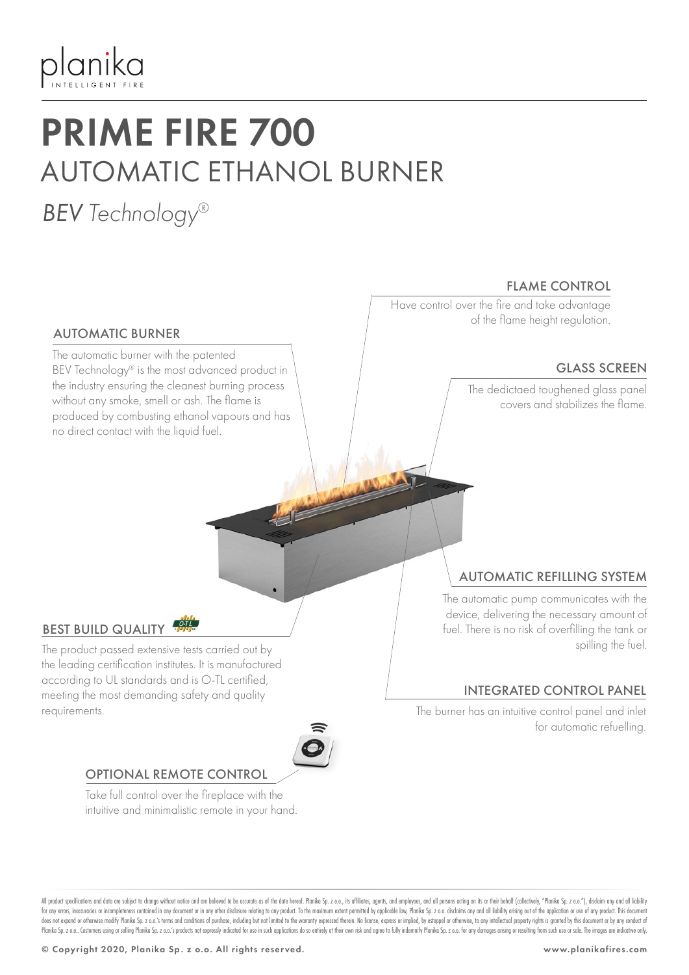

# PRIME FIRE 700 AUTOMATIC ETHANOL BURNER

# *BEV Technology®*

AUTOMATIC BURNER

The automatic burner with the patented

no direct contact with the liquid fuel.

BEV Technology® is the most advanced product in the industry ensuring the cleanest burning process without any smoke, smell or ash. The flame is produced by combusting ethanol vapours and has

#### FLAME CONTROL

Have control over the fire and take advantage of the flame height regulation.

#### GLASS SCREEN

The dedictaed toughened glass panel covers and stabilizes the flame.

#### BEST BUILD QUALITY

The product passed extensive tests carried out by the leading certification institutes. It is manufactured according to UL standards and is O-TL certified, meeting the most demanding safety and quality requirements.



#### OPTIONAL REMOTE CONTROL

Take full control over the fireplace with the intuitive and minimalistic remote in your hand.

#### AUTOMATIC REFILLING SYSTEM

The automatic pump communicates with the device, delivering the necessary amount of fuel. There is no risk of overfilling the tank or spilling the fuel.

#### INTEGRATED CONTROL PANEL

The burner has an intuitive control panel and inlet for automatic refuelling.

All product specifications and data are subject to change without notice and are believed to be accurate as of the date hereof. Planika Sp. z o.o., its affiliates, agents, and employees, and all pesons acting on its or the for any errors, inaccuracies or incompleteness contained in any document or in any other disclosure relating to any product. To the maximum extent permitted by applicable law, Planika Sp. z o.o. disclaims any and all liabi does not expand or otherwise modify Planka Sp. z o.o.'s terms and conditions of purchase, including but not limited to the warranty expressed therein. No license, express or implied, by estoppel or otherwise, to any intell Planika Sp. z o.o. Customers using or selling Planika Sp. z o.o.'s products not expressly indicated for use in such applications do so entirely at their own risk and agree to fully indemnify Planika Sp. z o.o. for any dama